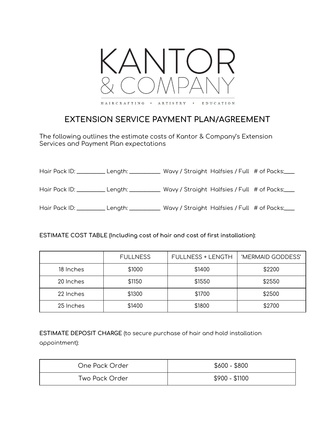

## **EXTENSION SERVICE PAYMENT PLAN/AGREEMENT**

The following outlines the estimate costs of Kantor & Company's Extension Services and Payment Plan expectations

Hair Pack ID: \_\_\_\_\_\_\_\_\_\_ Length: \_\_\_\_\_\_\_\_\_\_\_ Wavy / Straight Halfsies / Full # of Packs:\_\_\_\_

Hair Pack ID: \_\_\_\_\_\_\_\_\_\_\_ Length: \_\_\_\_\_\_\_\_\_\_\_\_ Wavy / Straight Halfsies / Full # of Packs:\_\_\_\_

Hair Pack ID: \_\_\_\_\_\_\_\_\_\_\_ Length: \_\_\_\_\_\_\_\_\_\_\_\_ Wavy / Straight Halfsies / Full # of Packs:\_\_\_\_

**ESTIMATE COST TABLE (Including cost of hair and cost of first installation):**

|           | <b>FULLNESS</b> | <b>FULLNESS + LENGTH</b> | 'MERMAID GODDESS' |
|-----------|-----------------|--------------------------|-------------------|
| 18 Inches | \$1000          | \$1400                   | \$2200            |
| 20 Inches | \$1150          | \$1550                   | \$2550            |
| 22 Inches | \$1300          | \$1700                   | \$2500            |
| 25 Inches | \$1400          | \$1800                   | \$2700            |

**ESTIMATE DEPOSIT CHARGE** (to secure purchase of hair and hold installation appointment):

| One Pack Order | $$600 - $800$  |
|----------------|----------------|
| Two Pack Order | $$900 - $1100$ |